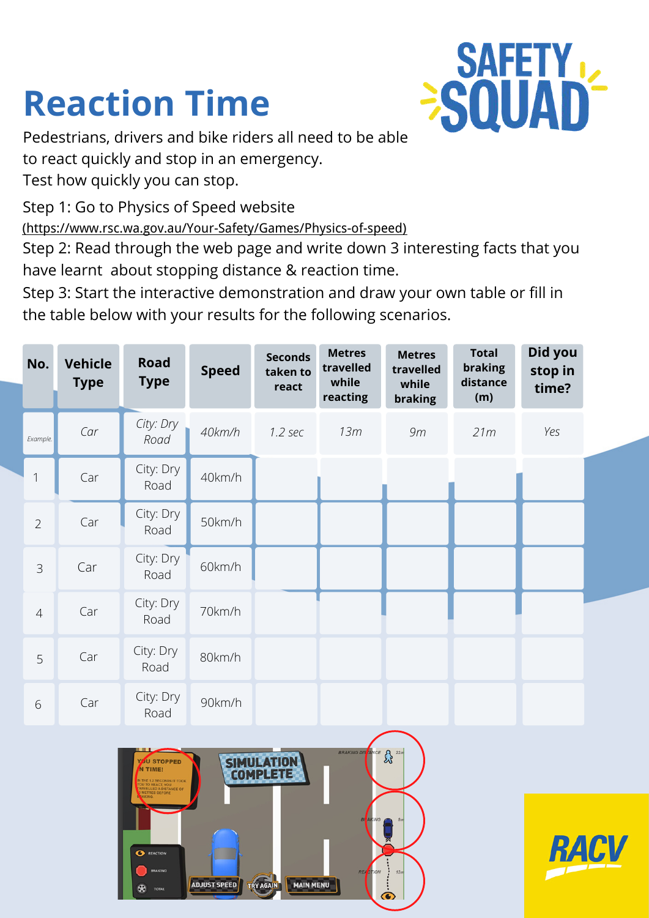## **Reaction Time**



Pedestrians, drivers and bike riders all need to be able to react quickly and stop in an emergency. Test how quickly you can stop.

Step 1: Go to Physics of Speed website

(https://www.rsc.wa.gov.au/Your-Safety/Games/Physics-of-speed) (https://www.rsc.wa.gov.au/Your-Safety/Games/Physics-of-speed)

**ADJUST SPEED** 

Step 2: Read through the web page and write down 3 interesting facts that you have learnt about stopping distance & reaction time.

Step 3: Start the interactive demonstration and draw your own table or fill in the table below with your results for the following scenarios.

| No.                                                                                                                                                                              | <b>Vehicle</b><br><b>Type</b> | <b>Road</b><br><b>Type</b> | <b>Speed</b> | <b>Seconds</b><br>taken to<br>react | <b>Metres</b><br>travelled<br>while<br>reacting | <b>Metres</b><br>travelled<br>while<br>braking | <b>Total</b><br>braking<br>distance<br>(m) | Did you<br>stop in<br>time? |  |
|----------------------------------------------------------------------------------------------------------------------------------------------------------------------------------|-------------------------------|----------------------------|--------------|-------------------------------------|-------------------------------------------------|------------------------------------------------|--------------------------------------------|-----------------------------|--|
| Example.                                                                                                                                                                         | Car                           | City: Dry<br>Road          | 40km/h       | 1.2 sec                             | 13m                                             | 9m                                             | 21m                                        | Yes                         |  |
| $\mathbf{1}$                                                                                                                                                                     | Car                           | City: Dry<br>Road          | 40km/h       |                                     |                                                 |                                                |                                            |                             |  |
| $\overline{2}$                                                                                                                                                                   | Car                           | City: Dry<br>Road          | 50km/h       |                                     |                                                 |                                                |                                            |                             |  |
| 3                                                                                                                                                                                | Car                           | City: Dry<br>Road          | 60km/h       |                                     |                                                 |                                                |                                            |                             |  |
| $\overline{4}$                                                                                                                                                                   | Car                           | City: Dry<br>Road          | 70km/h       |                                     |                                                 |                                                |                                            |                             |  |
| 5                                                                                                                                                                                | Car                           | City: Dry<br>Road          | 80km/h       |                                     |                                                 |                                                |                                            |                             |  |
| 6                                                                                                                                                                                | Car                           | City: Dry<br>Road          | 90km/h       |                                     |                                                 |                                                |                                            |                             |  |
| BRAKING DISTANCE 8 22m<br>SIMULATION<br>COMPLETE<br><b>YOU STOPPED</b><br>N TIME!<br>THE 1.2 SECONDS IT TOOK<br>U TO REACT, YOU<br>AVELLED A DISTANCE OF<br><b>METRES BEFORE</b> |                               |                            |              |                                     |                                                 |                                                |                                            |                             |  |

**MAIN MENU**